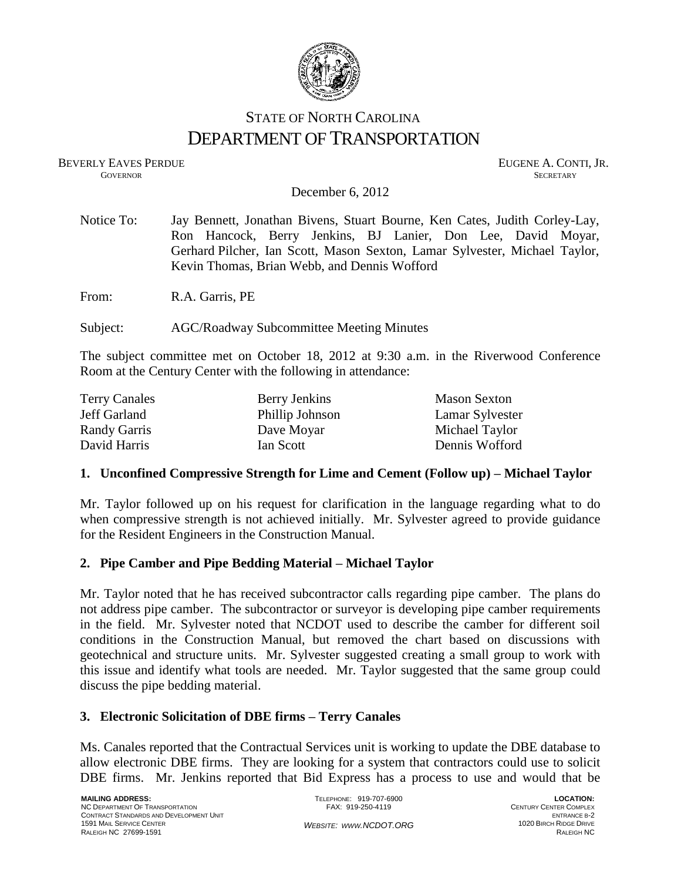

# STATE OF NORTH CAROLINA DEPARTMENT OF TRANSPORTATION

BEVERLY EAVES PERDUE **EUGENE A. CONTI, JR. GOVERNOR SECRETARY** SECRETARY

December 6, 2012

| Notice To: | Jay Bennett, Jonathan Bivens, Stuart Bourne, Ken Cates, Judith Corley-Lay, |  |  |
|------------|----------------------------------------------------------------------------|--|--|
|            | Ron Hancock, Berry Jenkins, BJ Lanier, Don Lee, David Moyar,               |  |  |
|            | Gerhard Pilcher, Ian Scott, Mason Sexton, Lamar Sylvester, Michael Taylor, |  |  |
|            | Kevin Thomas, Brian Webb, and Dennis Wofford                               |  |  |
| From:      | R.A. Garris, PE                                                            |  |  |
| Subject:   | <b>AGC/Roadway Subcommittee Meeting Minutes</b>                            |  |  |

The subject committee met on October 18, 2012 at 9:30 a.m. in the Riverwood Conference Room at the Century Center with the following in attendance:

| <b>Terry Canales</b> | Berry Jenkins   | <b>Mason Sexton</b> |
|----------------------|-----------------|---------------------|
| Jeff Garland         | Phillip Johnson | Lamar Sylvester     |
| Randy Garris         | Dave Moyar      | Michael Taylor      |
| David Harris         | Ian Scott       | Dennis Wofford      |

#### **1. Unconfined Compressive Strength for Lime and Cement (Follow up) – Michael Taylor**

Mr. Taylor followed up on his request for clarification in the language regarding what to do when compressive strength is not achieved initially. Mr. Sylvester agreed to provide guidance for the Resident Engineers in the Construction Manual.

# **2. Pipe Camber and Pipe Bedding Material – Michael Taylor**

Mr. Taylor noted that he has received subcontractor calls regarding pipe camber. The plans do not address pipe camber. The subcontractor or surveyor is developing pipe camber requirements in the field. Mr. Sylvester noted that NCDOT used to describe the camber for different soil conditions in the Construction Manual, but removed the chart based on discussions with geotechnical and structure units. Mr. Sylvester suggested creating a small group to work with this issue and identify what tools are needed. Mr. Taylor suggested that the same group could discuss the pipe bedding material.

# **3. Electronic Solicitation of DBE firms – Terry Canales**

Ms. Canales reported that the Contractual Services unit is working to update the DBE database to allow electronic DBE firms. They are looking for a system that contractors could use to solicit DBE firms. Mr. Jenkins reported that Bid Express has a process to use and would that be

**LOCATION:** CENTURY CENTER COMPLEX ENTRANCE B-2 1020 BIRCH RIDGE DRIVE RALEIGH NC